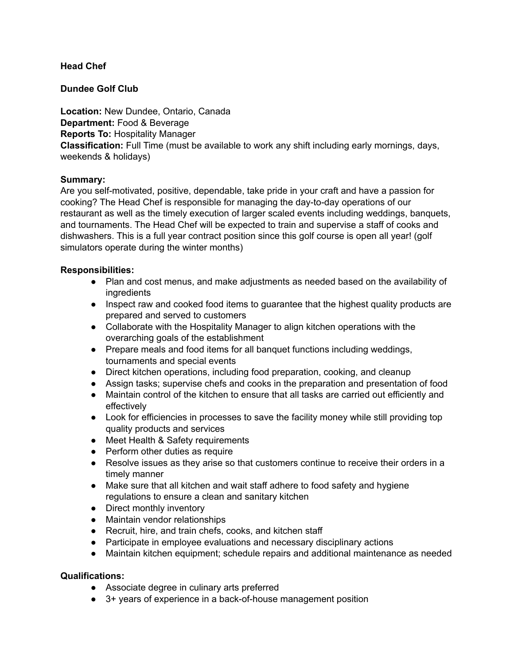# **Head Chef**

# **Dundee Golf Club**

**Location:** New Dundee, Ontario, Canada **Department:** Food & Beverage **Reports To:** Hospitality Manager **Classification:** Full Time (must be available to work any shift including early mornings, days, weekends & holidays)

# **Summary:**

Are you self-motivated, positive, dependable, take pride in your craft and have a passion for cooking? The Head Chef is responsible for managing the day-to-day operations of our restaurant as well as the timely execution of larger scaled events including weddings, banquets, and tournaments. The Head Chef will be expected to train and supervise a staff of cooks and dishwashers. This is a full year contract position since this golf course is open all year! (golf simulators operate during the winter months)

#### **Responsibilities:**

- Plan and cost menus, and make adjustments as needed based on the availability of ingredients
- Inspect raw and cooked food items to guarantee that the highest quality products are prepared and served to customers
- Collaborate with the Hospitality Manager to align kitchen operations with the overarching goals of the establishment
- Prepare meals and food items for all banquet functions including weddings, tournaments and special events
- Direct kitchen operations, including food preparation, cooking, and cleanup
- Assign tasks; supervise chefs and cooks in the preparation and presentation of food
- Maintain control of the kitchen to ensure that all tasks are carried out efficiently and effectively
- Look for efficiencies in processes to save the facility money while still providing top quality products and services
- Meet Health & Safety requirements
- Perform other duties as require
- Resolve issues as they arise so that customers continue to receive their orders in a timely manner
- Make sure that all kitchen and wait staff adhere to food safety and hygiene regulations to ensure a clean and sanitary kitchen
- Direct monthly inventory
- Maintain vendor relationships
- Recruit, hire, and train chefs, cooks, and kitchen staff
- Participate in employee evaluations and necessary disciplinary actions
- Maintain kitchen equipment; schedule repairs and additional maintenance as needed

# **Qualifications:**

- Associate degree in culinary arts preferred
- 3+ years of experience in a back-of-house management position